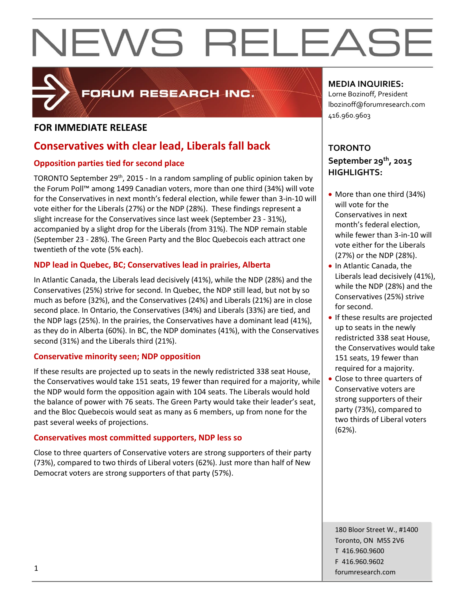

## FORUM RESEARCH INC.

## **FOR IMMEDIATE RELEASE**

## **Conservatives with clear lead, Liberals fall back**

## **Opposition parties tied for second place**

TORONTO September 29<sup>th</sup>, 2015 - In a random sampling of public opinion taken by the Forum Poll™ among 1499 Canadian voters, more than one third (34%) will vote for the Conservatives in next month's federal election, while fewer than 3-in-10 will vote either for the Liberals (27%) or the NDP (28%). These findings represent a slight increase for the Conservatives since last week (September 23 - 31%), accompanied by a slight drop for the Liberals (from 31%). The NDP remain stable (September 23 - 28%). The Green Party and the Bloc Quebecois each attract one twentieth of the vote (5% each).

## **NDP lead in Quebec, BC; Conservatives lead in prairies, Alberta**

In Atlantic Canada, the Liberals lead decisively (41%), while the NDP (28%) and the Conservatives (25%) strive for second. In Quebec, the NDP still lead, but not by so much as before (32%), and the Conservatives (24%) and Liberals (21%) are in close second place. In Ontario, the Conservatives (34%) and Liberals (33%) are tied, and the NDP lags (25%). In the prairies, the Conservatives have a dominant lead (41%), as they do in Alberta (60%). In BC, the NDP dominates (41%), with the Conservatives second (31%) and the Liberals third (21%).

## **Conservative minority seen; NDP opposition**

If these results are projected up to seats in the newly redistricted 338 seat House, the Conservatives would take 151 seats, 19 fewer than required for a majority, while the NDP would form the opposition again with 104 seats. The Liberals would hold the balance of power with 76 seats. The Green Party would take their leader's seat, and the Bloc Quebecois would seat as many as 6 members, up from none for the past several weeks of projections.

## **Conservatives most committed supporters, NDP less so**

Close to three quarters of Conservative voters are strong supporters of their party (73%), compared to two thirds of Liberal voters (62%). Just more than half of New Democrat voters are strong supporters of that party (57%).

## **MEDIA INQUIRIES:**

Lorne Bozinoff, President lbozinoff@forumresearch.com 416.960.9603

## **TORONTO September 29th, 2015 HIGHLIGHTS:**

- More than one third (34%) will vote for the Conservatives in next month's federal election, while fewer than 3-in-10 will vote either for the Liberals (27%) or the NDP (28%).
- In Atlantic Canada, the Liberals lead decisively (41%), while the NDP (28%) and the Conservatives (25%) strive for second.
- If these results are projected up to seats in the newly redistricted 338 seat House, the Conservatives would take 151 seats, 19 fewer than required for a majority.
- Close to three quarters of Conservative voters are strong supporters of their party (73%), compared to two thirds of Liberal voters (62%).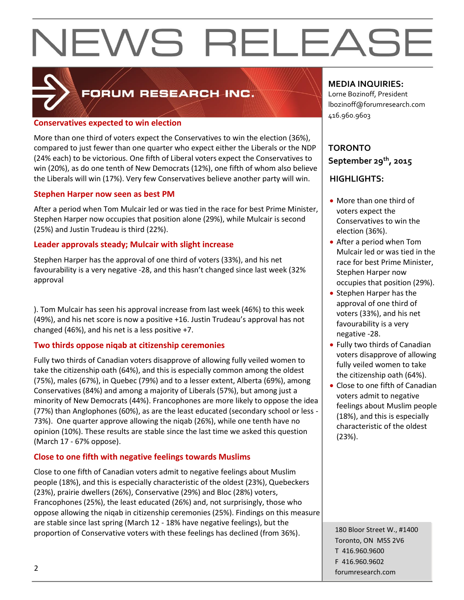

## FORUM RESEARCH INC.

### **Conservatives expected to win election**

More than one third of voters expect the Conservatives to win the election (36%), compared to just fewer than one quarter who expect either the Liberals or the NDP (24% each) to be victorious. One fifth of Liberal voters expect the Conservatives to win (20%), as do one tenth of New Democrats (12%), one fifth of whom also believe the Liberals will win (17%). Very few Conservatives believe another party will win.

## **Stephen Harper now seen as best PM**

After a period when Tom Mulcair led or was tied in the race for best Prime Minister, Stephen Harper now occupies that position alone (29%), while Mulcair is second (25%) and Justin Trudeau is third (22%).

## **Leader approvals steady; Mulcair with slight increase**

Stephen Harper has the approval of one third of voters (33%), and his net favourability is a very negative -28, and this hasn't changed since last week (32% approval

). Tom Mulcair has seen his approval increase from last week (46%) to this week (49%), and his net score is now a positive +16. Justin Trudeau's approval has not changed (46%), and his net is a less positive +7.

## **Two thirds oppose niqab at citizenship ceremonies**

Fully two thirds of Canadian voters disapprove of allowing fully veiled women to take the citizenship oath (64%), and this is especially common among the oldest (75%), males (67%), in Quebec (79%) and to a lesser extent, Alberta (69%), among Conservatives (84%) and among a majority of Liberals (57%), but among just a minority of New Democrats (44%). Francophones are more likely to oppose the idea (77%) than Anglophones (60%), as are the least educated (secondary school or less - 73%). One quarter approve allowing the niqab (26%), while one tenth have no opinion (10%). These results are stable since the last time we asked this question (March 17 - 67% oppose).

## **Close to one fifth with negative feelings towards Muslims**

Close to one fifth of Canadian voters admit to negative feelings about Muslim people (18%), and this is especially characteristic of the oldest (23%), Quebeckers (23%), prairie dwellers (26%), Conservative (29%) and Bloc (28%) voters, Francophones (25%), the least educated (26%) and, not surprisingly, those who oppose allowing the niqab in citizenship ceremonies (25%). Findings on this measure are stable since last spring (March 12 - 18% have negative feelings), but the proportion of Conservative voters with these feelings has declined (from 36%).

## **MEDIA INQUIRIES:**

Lorne Bozinoff, President lbozinoff@forumresearch.com 416.960.9603

## **TORONTO September 29th, 2015**

## **HIGHLIGHTS:**

- More than one third of voters expect the Conservatives to win the election (36%).
- After a period when Tom Mulcair led or was tied in the race for best Prime Minister, Stephen Harper now occupies that position (29%).
- Stephen Harper has the approval of one third of voters (33%), and his net favourability is a very negative -28.
- Fully two thirds of Canadian voters disapprove of allowing fully veiled women to take the citizenship oath (64%).
- Close to one fifth of Canadian voters admit to negative feelings about Muslim people (18%), and this is especially characteristic of the oldest (23%).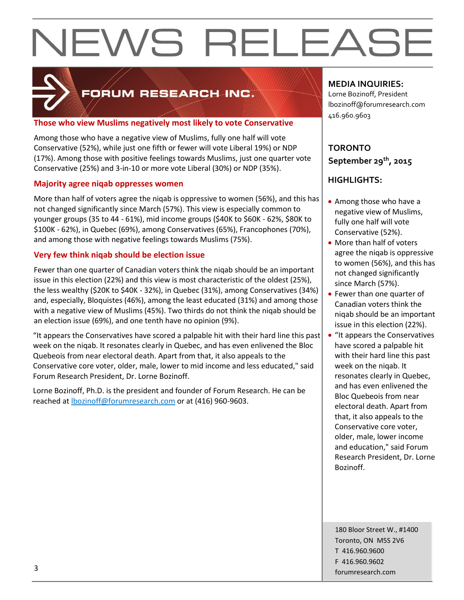

## FORUM RESEARCH INC.

## **Those who view Muslims negatively most likely to vote Conservative**

Among those who have a negative view of Muslims, fully one half will vote Conservative (52%), while just one fifth or fewer will vote Liberal 19%) or NDP (17%). Among those with positive feelings towards Muslims, just one quarter vote Conservative (25%) and 3-in-10 or more vote Liberal (30%) or NDP (35%).

## **Majority agree niqab oppresses women**

More than half of voters agree the niqab is oppressive to women (56%), and this has not changed significantly since March (57%). This view is especially common to younger groups (35 to 44 - 61%), mid income groups (\$40K to \$60K - 62%, \$80K to \$100K - 62%), in Quebec (69%), among Conservatives (65%), Francophones (70%), and among those with negative feelings towards Muslims (75%).

## **Very few think niqab should be election issue**

Fewer than one quarter of Canadian voters think the niqab should be an important issue in this election (22%) and this view is most characteristic of the oldest (25%), the less wealthy (\$20K to \$40K - 32%), in Quebec (31%), among Conservatives (34%) and, especially, Bloquistes (46%), among the least educated (31%) and among those with a negative view of Muslims (45%). Two thirds do not think the niqab should be an election issue (69%), and one tenth have no opinion (9%).

"It appears the Conservatives have scored a palpable hit with their hard line this past week on the niqab. It resonates clearly in Quebec, and has even enlivened the Bloc Quebeois from near electoral death. Apart from that, it also appeals to the Conservative core voter, older, male, lower to mid income and less educated," said Forum Research President, Dr. Lorne Bozinoff.

Lorne Bozinoff, Ph.D. is the president and founder of Forum Research. He can be reached at [lbozinoff@forumresearch.com](mailto:lbozinoff@forumresearch.com) or at (416) 960-9603.

## **MEDIA INQUIRIES:**

Lorne Bozinoff, President lbozinoff@forumresearch.com 416.960.9603

## **TORONTO September 29th, 2015**

## **HIGHLIGHTS:**

- Among those who have a negative view of Muslims, fully one half will vote Conservative (52%).
- More than half of voters agree the niqab is oppressive to women (56%), and this has not changed significantly since March (57%).
- Fewer than one quarter of Canadian voters think the niqab should be an important issue in this election (22%).
- "It appears the Conservatives" have scored a palpable hit with their hard line this past week on the niqab. It resonates clearly in Quebec, and has even enlivened the Bloc Quebeois from near electoral death. Apart from that, it also appeals to the Conservative core voter, older, male, lower income and education," said Forum Research President, Dr. Lorne Bozinoff.

180 Bloor Street W., #1400 Toronto, ON M5S 2V6 T 416.960.9600 F 416.960.9602 forumresearch.com and the set of the set of the set of the set of the set of the set of the set of the set of the set of the set of the set of the set of the set of the set of the set of the set of the set of the set of th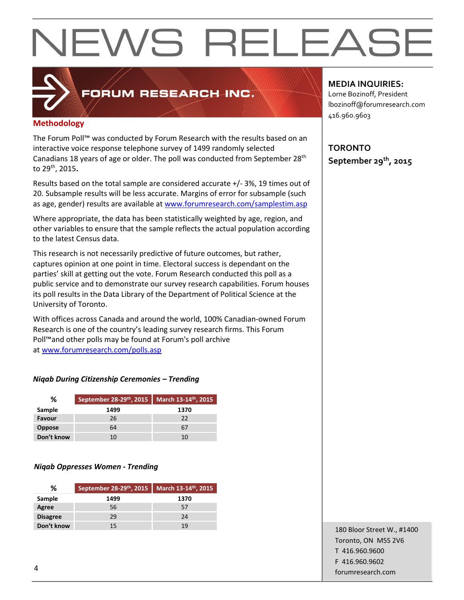## FORUM RESEARCH INC.

## **Methodology**

The Forum Poll™ was conducted by Forum Research with the results based on an interactive voice response telephone survey of 1499 randomly selected Canadians 18 years of age or older. The poll was conducted from September 28<sup>th</sup> to 29th, 2015**.**

Results based on the total sample are considered accurate +/- 3%, 19 times out of 20. Subsample results will be less accurate. Margins of error for subsample (such as age, gender) results are available at [www.forumresearch.com/samplestim.asp](http://www.forumresearch.com/samplestim.asp)

Where appropriate, the data has been statistically weighted by age, region, and other variables to ensure that the sample reflects the actual population according to the latest Census data.

This research is not necessarily predictive of future outcomes, but rather, captures opinion at one point in time. Electoral success is dependant on the parties' skill at getting out the vote. Forum Research conducted this poll as a public service and to demonstrate our survey research capabilities. Forum houses its poll results in the Data Library of the Department of Political Science at the University of Toronto.

With offices across Canada and around the world, 100% Canadian-owned Forum Research is one of the country's leading survey research firms. This Forum Poll™and other polls may be found at Forum's poll archive at [www.forumresearch.com/polls.asp](http://www.forumresearch.com/polls.asp)

## *Niqab During Citizenship Ceremonies – Trending*

| %             | September 28-29th, 2015 March 13-14th, 2015 |      |
|---------------|---------------------------------------------|------|
| Sample        | 1499                                        | 1370 |
| Favour        | 26                                          | 22   |
| <b>Oppose</b> | 64                                          |      |
| Don't know    | 10                                          |      |

## *Niqab Oppresses Women - Trending*

| %               | September 28-29 <sup>th</sup> , 2015   March 13-14 <sup>th</sup> , 2015 |      |
|-----------------|-------------------------------------------------------------------------|------|
| Sample          | 1499                                                                    | 1370 |
| Agree           | 56                                                                      | 57   |
| <b>Disagree</b> | 29                                                                      | 24   |
| Don't know      | 15                                                                      | 19   |

## **MEDIA INQUIRIES:**

Lorne Bozinoff, President lbozinoff@forumresearch.com 416.960.9603

**TORONTO September 29th, 2015**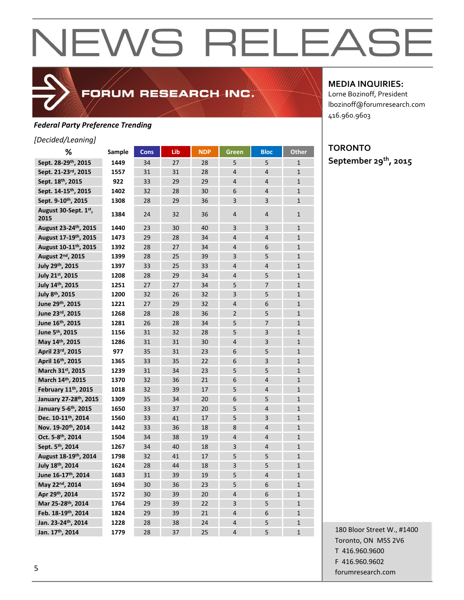## *Federal Party Preference Trending*

### *[Decided/Leaning]*

| %                                 | Sample | <b>Cons</b> | Lib | <b>NDP</b> | Green          | <b>Bloc</b>    | <b>Other</b> |
|-----------------------------------|--------|-------------|-----|------------|----------------|----------------|--------------|
| Sept. 28-29th, 2015               | 1449   | 34          | 27  | 28         | 5              | 5              | $\mathbf{1}$ |
| Sept. 21-23rd, 2015               | 1557   | 31          | 31  | 28         | $\overline{4}$ | $\overline{4}$ | $\mathbf{1}$ |
| Sept. 18th, 2015                  | 922    | 33          | 29  | 29         | $\overline{4}$ | $\overline{4}$ | $\mathbf{1}$ |
| Sept. 14-15 <sup>th</sup> , 2015  | 1402   | 32          | 28  | 30         | 6              | $\overline{4}$ | $\mathbf{1}$ |
| Sept. 9-10th, 2015                | 1308   | 28          | 29  | 36         | $\overline{3}$ | 3              | $\mathbf{1}$ |
| August 30-Sept. 1st,<br>2015      | 1384   | 24          | 32  | 36         | 4              | 4              | 1            |
| August 23-24th, 2015              | 1440   | 23          | 30  | 40         | 3              | 3              | $\mathbf{1}$ |
| August 17-19th, 2015              | 1473   | 29          | 28  | 34         | $\overline{4}$ | $\overline{4}$ | $\mathbf{1}$ |
| August 10-11 <sup>th</sup> , 2015 | 1392   | 28          | 27  | 34         | $\overline{4}$ | 6              | $\mathbf{1}$ |
| August 2 <sup>nd</sup> , 2015     | 1399   | 28          | 25  | 39         | 3              | 5              | $\mathbf{1}$ |
| July 29th, 2015                   | 1397   | 33          | 25  | 33         | $\overline{4}$ | $\overline{4}$ | $\mathbf{1}$ |
| July 21st, 2015                   | 1208   | 28          | 29  | 34         | $\overline{4}$ | 5              | $\mathbf{1}$ |
| July 14th, 2015                   | 1251   | 27          | 27  | 34         | 5              | 7              | $\mathbf{1}$ |
| July 8 <sup>th</sup> , 2015       | 1200   | 32          | 26  | 32         | 3              | 5              | $\mathbf{1}$ |
| June 29th, 2015                   | 1221   | 27          | 29  | 32         | $\overline{4}$ | 6              | $\mathbf{1}$ |
| June 23rd, 2015                   | 1268   | 28          | 28  | 36         | $\overline{2}$ | 5              | $\mathbf{1}$ |
| June 16th, 2015                   | 1281   | 26          | 28  | 34         | 5              | 7              | $\mathbf{1}$ |
| June 5th, 2015                    | 1156   | 31          | 32  | 28         | 5              | 3              | $\mathbf{1}$ |
| May 14th, 2015                    | 1286   | 31          | 31  | 30         | $\overline{4}$ | 3              | $\mathbf{1}$ |
| April 23rd, 2015                  | 977    | 35          | 31  | 23         | 6              | 5              | $\mathbf{1}$ |
| April 16th, 2015                  | 1365   | 33          | 35  | 22         | 6              | 3              | $\mathbf{1}$ |
| March 31st, 2015                  | 1239   | 31          | 34  | 23         | 5              | 5              | $\mathbf{1}$ |
| March 14th, 2015                  | 1370   | 32          | 36  | 21         | 6              | $\overline{4}$ | $\mathbf{1}$ |
| February 11th, 2015               | 1018   | 32          | 39  | 17         | 5              | $\overline{4}$ | $\mathbf{1}$ |
| January 27-28th, 2015             | 1309   | 35          | 34  | 20         | 6              | 5              | $\mathbf{1}$ |
| January 5-6th, 2015               | 1650   | 33          | 37  | 20         | 5              | $\overline{4}$ | $\mathbf{1}$ |
| Dec. 10-11 <sup>th</sup> , 2014   | 1560   | 33          | 41  | 17         | 5              | 3              | $\mathbf{1}$ |
| Nov. 19-20th, 2014                | 1442   | 33          | 36  | 18         | 8              | $\overline{4}$ | $\mathbf{1}$ |
| Oct. 5-8th, 2014                  | 1504   | 34          | 38  | 19         | $\overline{4}$ | $\overline{4}$ | $\mathbf{1}$ |
| Sept. 5th, 2014                   | 1267   | 34          | 40  | 18         | 3              | $\overline{4}$ | $\mathbf{1}$ |
| August 18-19 <sup>th</sup> , 2014 | 1798   | 32          | 41  | 17         | 5              | 5              | $\mathbf{1}$ |
| July 18th, 2014                   | 1624   | 28          | 44  | 18         | 3              | 5              | $\mathbf{1}$ |
| June 16-17th, 2014                | 1683   | 31          | 39  | 19         | 5              | $\overline{4}$ | $\mathbf{1}$ |
| May 22nd, 2014                    | 1694   | 30          | 36  | 23         | 5              | 6              | $\mathbf{1}$ |
| Apr 29th, 2014                    | 1572   | 30          | 39  | 20         | $\overline{4}$ | 6              | $\mathbf{1}$ |
| Mar 25-28th, 2014                 | 1764   | 29          | 39  | 22         | 3              | 5              | $\mathbf{1}$ |
| Feb. 18-19th, 2014                | 1824   | 29          | 39  | 21         | $\overline{4}$ | 6              | $\mathbf{1}$ |
| Jan. 23-24th, 2014                | 1228   | 28          | 38  | 24         | $\overline{4}$ | 5              | $\mathbf{1}$ |
| Jan. 17th, 2014                   | 1779   | 28          | 37  | 25         | $\overline{4}$ | 5              | $\mathbf{1}$ |

FORUM RESEARCH INC.

**MEDIA INQUIRIES:**

Lorne Bozinoff, President lbozinoff@forumresearch.com 416.960.9603

## **TORONTO September 29th, 2015**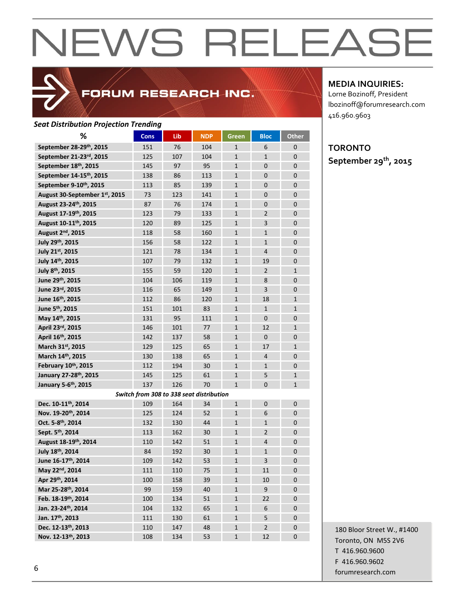

## FORUM RESEARCH INC.

#### *Seat Distribution Projection Trending*

| ℅                                    | <b>Cons</b>                              | Lib | <b>NDP</b> | Green        | <b>Bloc</b>    | <b>Other</b>   |
|--------------------------------------|------------------------------------------|-----|------------|--------------|----------------|----------------|
| September 28-29th, 2015              | 151                                      | 76  | 104        | $\mathbf{1}$ | 6              | 0              |
| September 21-23rd, 2015              | 125                                      | 107 | 104        | $\mathbf{1}$ | $\mathbf{1}$   | $\mathbf{0}$   |
| September 18th, 2015                 | 145                                      | 97  | 95         | $\mathbf{1}$ | $\mathbf{0}$   | $\mathbf{0}$   |
| September 14-15 <sup>th</sup> , 2015 | 138                                      | 86  | 113        | $\mathbf{1}$ | $\mathbf{0}$   | $\overline{0}$ |
| September 9-10th, 2015               | 113                                      | 85  | 139        | $\mathbf{1}$ | $\mathbf 0$    | $\overline{0}$ |
| August 30-September 1st, 2015        | 73                                       | 123 | 141        | $\mathbf{1}$ | $\mathbf 0$    | $\mathbf{0}$   |
| August 23-24th, 2015                 | 87                                       | 76  | 174        | $\mathbf{1}$ | $\overline{0}$ | $\overline{0}$ |
| August 17-19th, 2015                 | 123                                      | 79  | 133        | $\mathbf{1}$ | $\overline{2}$ | $\overline{0}$ |
| August 10-11 <sup>th</sup> , 2015    | 120                                      | 89  | 125        | $\mathbf{1}$ | 3              | $\mathbf{0}$   |
| August 2 <sup>nd</sup> , 2015        | 118                                      | 58  | 160        | $\mathbf{1}$ | $\mathbf{1}$   | $\mathbf{0}$   |
| July 29th, 2015                      | 156                                      | 58  | 122        | $\mathbf{1}$ | $\mathbf{1}$   | 0              |
| July 21st, 2015                      | 121                                      | 78  | 134        | $\mathbf{1}$ | 4              | $\mathbf{0}$   |
| July 14th, 2015                      | 107                                      | 79  | 132        | $\mathbf{1}$ | 19             | $\mathbf{0}$   |
| July 8th, 2015                       | 155                                      | 59  | 120        | $\mathbf{1}$ | $\overline{2}$ | $\mathbf{1}$   |
| June 29th, 2015                      | 104                                      | 106 | 119        | $\mathbf{1}$ | 8              | $\overline{0}$ |
| June 23rd, 2015                      | 116                                      | 65  | 149        | $\mathbf{1}$ | $\overline{3}$ | $\mathbf{0}$   |
| June 16th, 2015                      | 112                                      | 86  | 120        | $\mathbf{1}$ | 18             | $\mathbf{1}$   |
| June 5 <sup>th</sup> , 2015          | 151                                      | 101 | 83         | $\mathbf{1}$ | $\mathbf{1}$   | $\mathbf{1}$   |
| May 14th, 2015                       | 131                                      | 95  | 111        | $\mathbf{1}$ | $\overline{0}$ | $\mathbf{0}$   |
| April 23rd, 2015                     | 146                                      | 101 | 77         | $\mathbf{1}$ | 12             | $\mathbf{1}$   |
| April 16th, 2015                     | 142                                      | 137 | 58         | $\mathbf{1}$ | $\mathbf{0}$   | $\mathbf{0}$   |
| March 31st, 2015                     | 129                                      | 125 | 65         | $\mathbf{1}$ | 17             | $\mathbf{1}$   |
| March 14th, 2015                     | 130                                      | 138 | 65         | $\mathbf{1}$ | $\overline{4}$ | $\mathbf{0}$   |
| February 10th, 2015                  | 112                                      | 194 | 30         | $\mathbf{1}$ | $\mathbf{1}$   | $\mathbf{0}$   |
| January 27-28 <sup>th</sup> , 2015   | 145                                      | 125 | 61         | $\mathbf{1}$ | 5              | $\mathbf{1}$   |
| January 5-6th, 2015                  | 137                                      | 126 | 70         | $\mathbf{1}$ | $\mathbf{0}$   | 1              |
|                                      | Switch from 308 to 338 seat distribution |     |            |              |                |                |
| Dec. 10-11th, 2014                   | 109                                      | 164 | 34         | $\mathbf{1}$ | $\mathbf{0}$   | $\mathbf{0}$   |
| Nov. 19-20th, 2014                   | 125                                      | 124 | 52         | $\mathbf{1}$ | 6              | $\mathbf{0}$   |
| Oct. 5-8th, 2014                     | 132                                      | 130 | 44         | $\mathbf{1}$ | $\mathbf{1}$   | $\mathbf{0}$   |
| Sept. 5 <sup>th</sup> , 2014         | 113                                      | 162 | 30         | $\mathbf{1}$ | $\overline{2}$ | $\mathbf{0}$   |
| August 18-19th, 2014                 | 110                                      | 142 | 51         | $\mathbf{1}$ | $\overline{4}$ | $\mathbf 0$    |
| July 18th, 2014                      | 84                                       | 192 | 30         | $\mathbf{1}$ | $\mathbf{1}$   | $\mathbf{0}$   |
| June 16-17th, 2014                   | 109                                      | 142 | 53         | $\mathbf{1}$ | 3              | $\Omega$       |
| May 22nd, 2014                       | 111                                      | 110 | 75         | 1            | 11             | 0              |
| Apr 29th, 2014                       | 100                                      | 158 | 39         | $\mathbf{1}$ | 10             | $\mathbf 0$    |
| Mar 25-28th, 2014                    | 99                                       | 159 | 40         | $\mathbf{1}$ | 9              | $\pmb{0}$      |
| Feb. 18-19th, 2014                   | 100                                      | 134 | 51         | $\mathbf{1}$ | 22             | $\mathbf 0$    |
| Jan. 23-24th, 2014                   | 104                                      | 132 | 65         | $\mathbf{1}$ | 6              | $\mathbf{0}$   |
| Jan. 17th, 2013                      | 111                                      | 130 | 61         | $\mathbf{1}$ | 5              | $\mathbf 0$    |
| Dec. 12-13th, 2013                   | 110                                      | 147 | 48         | $\mathbf{1}$ | $\overline{2}$ | $\mathbf 0$    |
| Nov. 12-13th, 2013                   | 108                                      | 134 | 53         | $\mathbf{1}$ | 12             | 0              |

**MEDIA INQUIRIES:**

Lorne Bozinoff, President lbozinoff@forumresearch.com 416.960.9603

## **TORONTO September 29th, 2015**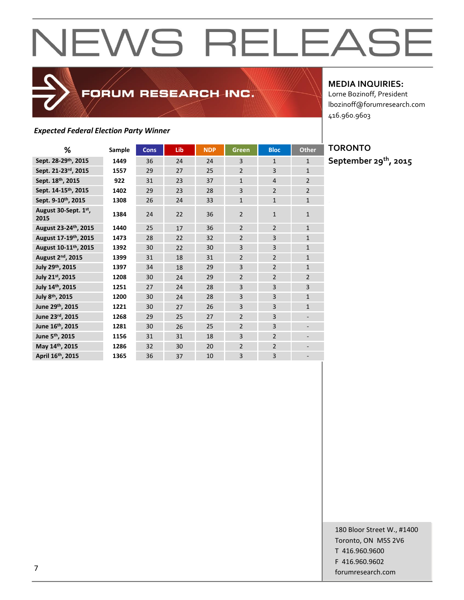## *Expected Federal Election Party Winner*

**MEDIA INQUIRIES:**

Lorne Bozinoff, President lbozinoff@forumresearch.com 416.960.9603

| ℅                                 | Sample | <b>Cons</b> | Lib | <b>NDP</b> | Green          | <b>Bloc</b>              | <b>Other</b>             |
|-----------------------------------|--------|-------------|-----|------------|----------------|--------------------------|--------------------------|
| Sept. 28-29th, 2015               | 1449   | 36          | 24  | 24         | 3              | $\mathbf{1}$             | $\mathbf{1}$             |
| Sept. 21-23rd, 2015               | 1557   | 29          | 27  | 25         | $\overline{2}$ | 3                        | $\mathbf{1}$             |
| Sept. 18th, 2015                  | 922    | 31          | 23  | 37         | $\mathbf{1}$   | $\overline{4}$           | $\overline{2}$           |
| Sept. 14-15 <sup>th</sup> , 2015  | 1402   | 29          | 23  | 28         | 3              | $\overline{2}$           | $\overline{2}$           |
| Sept. 9-10th, 2015                | 1308   | 26          | 24  | 33         | $\mathbf{1}$   | $\mathbf{1}$             | $\mathbf{1}$             |
| August 30-Sept. 1st,<br>2015      | 1384   | 24          | 22  | 36         | $\overline{2}$ | $\mathbf{1}$             | $\mathbf{1}$             |
| August 23-24th, 2015              | 1440   | 25          | 17  | 36         | $\overline{2}$ | $\overline{2}$           | $\mathbf{1}$             |
| August 17-19th, 2015              | 1473   | 28          | 22  | 32         | $\overline{2}$ | 3                        | $\mathbf{1}$             |
| August 10-11 <sup>th</sup> , 2015 | 1392   | 30          | 22  | 30         | $\overline{3}$ | $\overline{3}$           | $\mathbf{1}$             |
| August 2 <sup>nd</sup> , 2015     | 1399   | 31          | 18  | 31         | $\overline{2}$ | $\overline{2}$           | $\mathbf{1}$             |
| July 29th, 2015                   | 1397   | 34          | 18  | 29         | 3              | $\overline{\phantom{0}}$ | $\mathbf{1}$             |
| July 21st, 2015                   | 1208   | 30          | 24  | 29         | $\overline{2}$ | $\overline{2}$           | $\overline{2}$           |
| July 14th, 2015                   | 1251   | 27          | 24  | 28         | 3              | 3                        | 3                        |
| July 8th, 2015                    | 1200   | 30          | 24  | 28         | 3              | 3                        | $\mathbf{1}$             |
| June 29th, 2015                   | 1221   | 30          | 27  | 26         | 3              | 3                        | $\mathbf{1}$             |
| June 23rd, 2015                   | 1268   | 29          | 25  | 27         | $\overline{2}$ | 3                        |                          |
| June 16th, 2015                   | 1281   | 30          | 26  | 25         | $\overline{2}$ | 3                        |                          |
| June 5 <sup>th</sup> , 2015       | 1156   | 31          | 31  | 18         | 3              | $\overline{2}$           | $\overline{\phantom{a}}$ |
| May 14th, 2015                    | 1286   | 32          | 30  | 20         | $\overline{2}$ | $\overline{2}$           |                          |
| April 16th, 2015                  | 1365   | 36          | 37  | 10         | 3              | 3                        |                          |

FORUM RESEARCH INC.

## **TORONTO September 29th, 2015**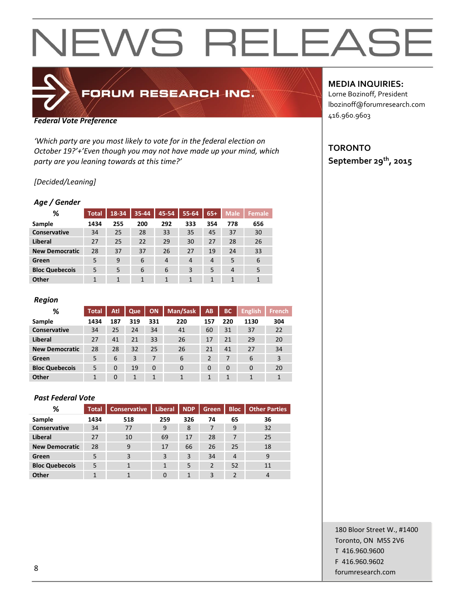## FORUM RESEARCH INC.

#### *Federal Vote Preference*

*'Which party are you most likely to vote for in the federal election on October 19?'+'Even though you may not have made up your mind, which party are you leaning towards at this time?'*

## *[Decided/Leaning]*

#### *Age / Gender*

| %                     | <b>Total</b> | 18-34 | 35-44 | 45-54 | 55-64          | $65+$          | <b>Male</b>    | <b>Female</b> |
|-----------------------|--------------|-------|-------|-------|----------------|----------------|----------------|---------------|
| Sample                | 1434         | 255   | 200   | 292   | 333            | 354            | 778            | 656           |
| <b>Conservative</b>   | 34           | 25    | 28    | 33    | 35             | 45             | 37             | 30            |
| <b>Liberal</b>        | 27           | 25    | 22    | 29    | 30             | 27             | 28             | 26            |
| <b>New Democratic</b> | 28           | 37    | 37    | 26    | 27             | 19             | 24             | 33            |
| Green                 | 5            | 9     | 6     | 4     | $\overline{4}$ | $\overline{4}$ | 5              | 6             |
| <b>Bloc Quebecois</b> | 5            | 5     | 6     | 6     | 3              | 5              | $\overline{4}$ | 5             |
| Other                 | 1            | 1     | 1     | 1     |                | 1              |                | 1             |

#### *Region*

| %                     | <b>Total</b> | Atl      | Que | ON       | Man/Sask | AB             | <b>BC</b> | <b>English</b> | <b>French</b> |
|-----------------------|--------------|----------|-----|----------|----------|----------------|-----------|----------------|---------------|
| Sample                | 1434         | 187      | 319 | 331      | 220      | 157            | 220       | 1130           | 304           |
| <b>Conservative</b>   | 34           | 25       | 24  | 34       | 41       | 60             | 31        | 37             | 22            |
| Liberal               | 27           | 41       | 21  | 33       | 26       | 17             | 21        | 29             | 20            |
| <b>New Democratic</b> | 28           | 28       | 32  | 25       | 26       | 21             | 41        | 27             | 34            |
| Green                 | 5            | 6        | 3   | 7        | 6        | $\overline{2}$ | 7         | 6              | 3             |
| <b>Bloc Quebecois</b> | 5            | $\Omega$ | 19  | $\Omega$ | $\Omega$ | 0              | $\Omega$  | $\Omega$       | 20            |
| <b>Other</b>          |              | $\Omega$ | 1   |          |          | $\mathbf{1}$   | 1         | 1              |               |

### *Past Federal Vote*

| %                     | <b>Total</b> | <b>Conservative</b> | <b>Liberal</b> | <b>NDP</b> | <b>Green</b>   | <b>Bloc</b>    | <b>Other Parties</b> |
|-----------------------|--------------|---------------------|----------------|------------|----------------|----------------|----------------------|
| Sample                | 1434         | 518                 | 259            | 326        | 74             | 65             | 36                   |
| Conservative          | 34           | 77                  | 9              | 8          |                | 9              | 32                   |
| Liberal               | 27           | 10                  | 69             | 17         | 28             | 7              | 25                   |
| <b>New Democratic</b> | 28           | 9                   | 17             | 66         | 26             | 25             | 18                   |
| Green                 | 5            | 3                   | 3              | 3          | 34             | $\overline{4}$ | 9                    |
| <b>Bloc Quebecois</b> | 5            |                     | 1              | 5          | $\overline{2}$ | 52             | 11                   |
| Other                 |              |                     |                | 1          | 3              |                | 4                    |

## **MEDIA INQUIRIES:**

Lorne Bozinoff, President lbozinoff@forumresearch.com 416.960.9603

## **TORONTO September 29th, 2015**

180 Bloor Street W., #1400 Toronto, ON M5S 2V6 T 416.960.9600 F 416.960.9602 end to the state of the state of the state of the state of the state of the state of the state of the state of the state of the state of the state of the state of the state of the state of the state of the state of the sta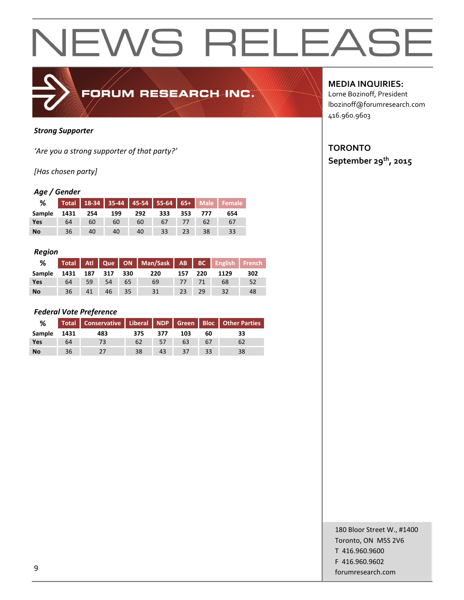

### *Strong Supporter*

*'Are you a strong supporter of that party?'*

*[Has chosen party]*

## *Age / Gender*

| %           |    |       |     |     |     |    |         | Total 18-34 35-44 45-54 55-64 65+ Male Female |
|-------------|----|-------|-----|-----|-----|----|---------|-----------------------------------------------|
| Sample 1431 |    | - 254 | 199 | 292 | 333 |    | 353 777 | 654                                           |
| <b>Yes</b>  | 64 | 60    | 60  | 60  | 67  |    |         | 67                                            |
| <b>No</b>   | 36 | 40    | 40  | 40  | 33  | 23 | 38      | 33                                            |

#### *Region*

| %             |              |    |    |       | Total Atl Que   ON   Man/Sask   AB   BC   English   French |     |     |      |     |
|---------------|--------------|----|----|-------|------------------------------------------------------------|-----|-----|------|-----|
| <b>Sample</b> | 1431 187 317 |    |    | - 330 | 220                                                        | 157 | 220 | 1129 | 302 |
| <b>Yes</b>    | 64           | 59 | 54 | 65    | 69                                                         | 77  |     | 68   | 52  |
| <b>No</b>     | 36           | 41 | 46 | 35    | 31                                                         | 23  | 29  | 32   | 48  |

## *Federal Vote Preference*

| %         |      |     |     | Total   Conservative   Liberal   NDP   Green   Bloc   Other Parties |     |    |    |
|-----------|------|-----|-----|---------------------------------------------------------------------|-----|----|----|
| Sample    | 1431 | 483 | 375 | 377                                                                 | 103 | 60 | 33 |
| Yes       | 64   |     | 62  | 57                                                                  | 63  | 67 |    |
| <b>No</b> | 36   |     | 38  | 43                                                                  | 27  | 33 | 38 |

**MEDIA INQUIRIES:**

Lorne Bozinoff, President lbozinoff@forumresearch.com 416.960.9603

## **TORONTO September 29th, 2015**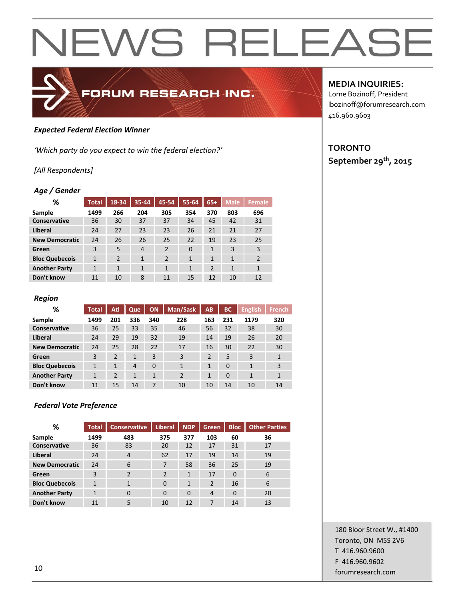

### *Expected Federal Election Winner*

*'Which party do you expect to win the federal election?'*

### *[All Respondents]*

#### *Age / Gender*

| %                     | <b>Total</b> | 18-34          | 35-44          | 45-54          | 55-64    | $65+$          | <b>Male</b>  | <b>Female</b>  |
|-----------------------|--------------|----------------|----------------|----------------|----------|----------------|--------------|----------------|
| Sample                | 1499         | 266            | 204            | 305            | 354      | 370            | 803          | 696            |
| <b>Conservative</b>   | 36           | 30             | 37             | 37             | 34       | 45             | 42           | 31             |
| Liberal               | 24           | 27             | 23             | 23             | 26       | 21             | 21           | 27             |
| <b>New Democratic</b> | 24           | 26             | 26             | 25             | 22       | 19             | 23           | 25             |
| Green                 | 3            | 5              | $\overline{4}$ | $\overline{2}$ | $\Omega$ | $\mathbf{1}$   | 3            | 3              |
| <b>Bloc Quebecois</b> | $\mathbf{1}$ | $\overline{2}$ | 1              | $\overline{2}$ | 1        | $\mathbf{1}$   | $\mathbf{1}$ | $\overline{2}$ |
| <b>Another Party</b>  | $\mathbf{1}$ | 1              | 1              | $\mathbf{1}$   | 1        | $\overline{2}$ | 1            | $\mathbf{1}$   |
| Don't know            | 11           | 10             | 8              | 11             | 15       | 12             | 10           | 12             |

FORUM RESEARCH INC.

#### *Region*

| %                     | <b>Total</b> | <b>Atl</b>     | Que            | ON       | Man/Sask       | AB             | <b>BC</b> | <b>English</b> | <b>French</b> |
|-----------------------|--------------|----------------|----------------|----------|----------------|----------------|-----------|----------------|---------------|
| Sample                | 1499         | 201            | 336            | 340      | 228            | 163            | 231       | 1179           | 320           |
| Conservative          | 36           | 25             | 33             | 35       | 46             | 56             | 32        | 38             | 30            |
| Liberal               | 24           | 29             | 19             | 32       | 19             | 14             | 19        | 26             | 20            |
| <b>New Democratic</b> | 24           | 25             | 28             | 22       | 17             | 16             | 30        | 22             | 30            |
| Green                 | 3            | $\overline{2}$ | $\mathbf{1}$   | 3        | 3              | $\overline{2}$ | 5         | 3              | 1             |
| <b>Bloc Quebecois</b> | $\mathbf{1}$ | 1              | $\overline{4}$ | $\Omega$ | $\mathbf{1}$   | $\mathbf{1}$   | $\Omega$  | $\mathbf{1}$   | 3             |
| <b>Another Party</b>  | $\mathbf{1}$ | $\overline{2}$ | 1              | 1        | $\overline{2}$ | $\mathbf{1}$   | $\Omega$  | 1              | 1             |
| Don't know            | 11           | 15             | 14             | 7        | 10             | 10             | 14        | 10             | 14            |

#### *Federal Vote Preference*

| ℅                     | <b>Total</b> | <b>Conservative</b> | <b>Liberal</b> | <b>NDP</b>     | Green          | <b>Bloc</b> | <b>Other Parties</b> |
|-----------------------|--------------|---------------------|----------------|----------------|----------------|-------------|----------------------|
| Sample                | 1499         | 483                 | 375            | 377            | 103            | 60          | 36                   |
| Conservative          | 36           | 83                  | 20             | 12             | 17             | 31          | 17                   |
| Liberal               | 24           | $\overline{4}$      | 62             | 17             | 19             | 14          | 19                   |
| <b>New Democratic</b> | 24           | 6                   | 7              | 58             | 36             | 25          | 19                   |
| Green                 | 3            | $\overline{2}$      | $\overline{2}$ | $\mathbf{1}$   | 17             | $\Omega$    | 6                    |
| <b>Bloc Quebecois</b> | 1            | 1                   | $\Omega$       | $\overline{1}$ | $\overline{2}$ | 16          | 6                    |
| <b>Another Party</b>  | 1            | $\Omega$            | $\Omega$       | $\Omega$       | $\overline{4}$ | $\Omega$    | 20                   |
| Don't know            | 11           | 5                   | 10             | 12             | 7              | 14          | 13                   |

## **MEDIA INQUIRIES:**

Lorne Bozinoff, President lbozinoff@forumresearch.com 416.960.9603

## **TORONTO September 29th, 2015**

180 Bloor Street W., #1400 Toronto, ON M5S 2V6 T 416.960.9600 F 416.960.9602 for the set of the set of the set of the set of the set of the set of the set of the set of the set of the set of the set of the set of the set of the set of the set of the set of the set of the set of the set of the set o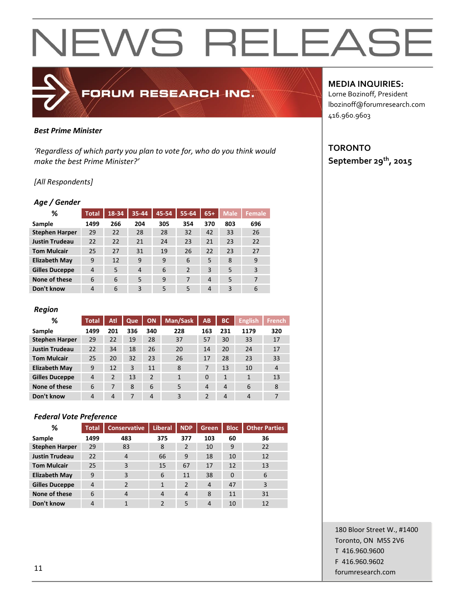## *Best Prime Minister*

*'Regardless of which party you plan to vote for, who do you think would make the best Prime Minister?'*

FORUM RESEARCH INC.

### *[All Respondents]*

#### *Age / Gender*

| ℅                     | <b>Total</b> | 18-34 | 35-44 | 45-54 | 55-64          | $65+$          | <b>Male</b> | Female |
|-----------------------|--------------|-------|-------|-------|----------------|----------------|-------------|--------|
| Sample                | 1499         | 266   | 204   | 305   | 354            | 370            | 803         | 696    |
| <b>Stephen Harper</b> | 29           | 22    | 28    | 28    | 32             | 42             | 33          | 26     |
| <b>Justin Trudeau</b> | 22           | 22    | 21    | 24    | 23             | 21             | 23          | 22     |
| <b>Tom Mulcair</b>    | 25           | 27    | 31    | 19    | 26             | 22             | 23          | 27     |
| <b>Elizabeth May</b>  | 9            | 12    | 9     | 9     | 6              | 5              | 8           | 9      |
| <b>Gilles Duceppe</b> | 4            | 5     | 4     | 6     | $\overline{2}$ | 3              | 5           | 3      |
| None of these         | 6            | 6     | 5     | 9     | 7              | $\overline{4}$ | 5           | 7      |
| Don't know            | 4            | 6     | 3     | 5     | 5              | $\overline{4}$ | 3           | 6      |

#### *Region*

| %                     | <b>Total</b>   | Atl            | Que | <b>ON</b>      | Man/Sask | AB  | ВC             | <b>English</b> | <b>French</b> |
|-----------------------|----------------|----------------|-----|----------------|----------|-----|----------------|----------------|---------------|
| Sample                | 1499           | 201            | 336 | 340            | 228      | 163 | 231            | 1179           | 320           |
| <b>Stephen Harper</b> | 29             | 22             | 19  | 28             | 37       | 57  | 30             | 33             | 17            |
| <b>Justin Trudeau</b> | 22             | 34             | 18  | 26             | 20       | 14  | 20             | 24             | 17            |
| <b>Tom Mulcair</b>    | 25             | 20             | 32  | 23             | 26       | 17  | 28             | 23             | 33            |
| <b>Elizabeth May</b>  | 9              | 12             | 3   | 11             | 8        |     | 13             | 10             | 4             |
| <b>Gilles Duceppe</b> | $\overline{4}$ | $\overline{2}$ | 13  | $\mathfrak{p}$ | 1        | 0   | $\mathbf{1}$   | 1              | 13            |
| None of these         | 6              | 7              | 8   | 6              | 5        | 4   | $\overline{4}$ | 6              | 8             |
| Don't know            | 4              | 4              | 7   | $\overline{4}$ | 3        | າ   | $\overline{4}$ | 4              | 7             |

### *Federal Vote Preference*

| ℅                     | <b>Total</b>   | <b>Conservative</b> | Liberal       | <b>NDP</b>     | Green,         | <b>Bloc</b> | <b>Other Parties</b> |
|-----------------------|----------------|---------------------|---------------|----------------|----------------|-------------|----------------------|
| Sample                | 1499           | 483                 | 375           | 377            | 103            | 60          | 36                   |
| <b>Stephen Harper</b> | 29             | 83                  | 8             | 2              | 10             | 9           | 22                   |
| <b>Justin Trudeau</b> | 22             | $\overline{4}$      | 66            | 9              | 18             | 10          | 12                   |
| <b>Tom Mulcair</b>    | 25             | 3                   | 15            | 67             | 17             | 12          | 13                   |
| <b>Elizabeth May</b>  | 9              | 3                   | 6             | 11             | 38             | $\Omega$    | 6                    |
| <b>Gilles Duceppe</b> | $\overline{4}$ | $\mathfrak{p}$      | $\mathbf{1}$  | $\overline{2}$ | $\overline{4}$ | 47          | 3                    |
| None of these         | 6              | $\overline{4}$      | 4             | $\overline{4}$ | 8              | 11          | 31                   |
| Don't know            | 4              | 1                   | $\mathcal{P}$ | 5              | $\overline{4}$ | 10          | 12                   |

### **MEDIA INQUIRIES:**

Lorne Bozinoff, President lbozinoff@forumresearch.com 416.960.9603

## **TORONTO September 29th, 2015**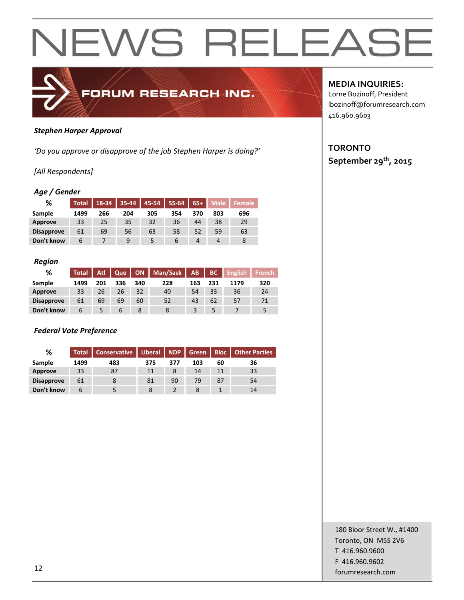

### *Stephen Harper Approval*

*'Do you approve or disapprove of the job Stephen Harper is doing?'*

## *[All Respondents]*

### *Age / Gender*

| %                 | <b>Total</b> | 18-34 | $35 - 44$ | 45-54 | $55 - 64$ | $65+$ | Male | <b>Female</b> ا |
|-------------------|--------------|-------|-----------|-------|-----------|-------|------|-----------------|
| Sample            | 1499         | 266   | 204       | 305   | 354       | 370   | 803  | 696             |
| Approve           | 33           | 25    | 35        | 32    | 36        | 44    | 38   | 29              |
| <b>Disapprove</b> | 61           | 69    | 56        | 63    | 58        | 52    | 59   | 63              |
| Don't know        | 6            |       | q         |       | 6         | 4     |      |                 |

#### *Region*

| ℅                 | <b>Total</b> | <b>Atl</b> | Que | <b>ON</b> | Man/Sask | AB  | <b>BC</b> | <b>English</b> | <b>French</b> |
|-------------------|--------------|------------|-----|-----------|----------|-----|-----------|----------------|---------------|
| Sample            | 1499         | 201        | 336 | 340       | 228      | 163 | 231       | 1179           | 320           |
| Approve           | 33           | 26         | 26  | 32        | 40       | 54  | 33        | 36             | 24            |
| <b>Disapprove</b> | 61           | 69         | 69  | 60        | 52       | 43  | 62        | 57             | 71            |
| Don't know        | 6            |            | 6   | 8         |          |     |           |                |               |

## *Federal Vote Preference*

| %                 | Total l | Conservative | Liberal   NDP |     | Green | <b>Bloc</b> | <b>Other Parties</b> |
|-------------------|---------|--------------|---------------|-----|-------|-------------|----------------------|
| Sample            | 1499    | 483          | 375           | 377 | 103   | 60          | 36                   |
| Approve           | 33      | 87           | 11            | 8   | 14    | 11          | 33                   |
| <b>Disapprove</b> | 61      | 8            | 81            | 90  | 79    | 87          | 54                   |
| Don't know        |         |              | 8             |     |       |             | 14                   |

## **MEDIA INQUIRIES:**

Lorne Bozinoff, President lbozinoff@forumresearch.com 416.960.9603

## **TORONTO September 29th, 2015**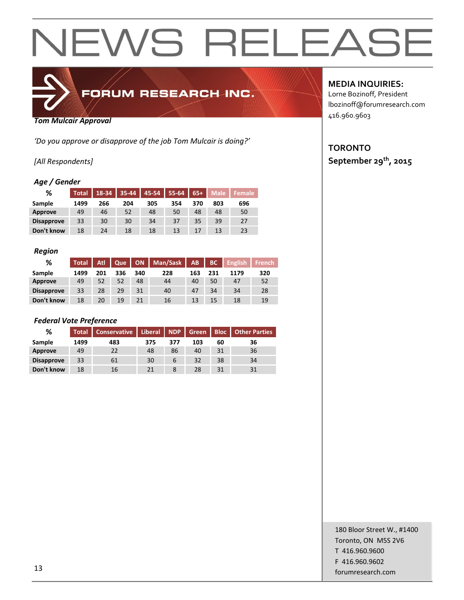

*Tom Mulcair Approval*

*'Do you approve or disapprove of the job Tom Mulcair is doing?'*

## *[All Respondents]*

## *Age / Gender*

| %                 | <b>Total</b> | 18-34 | 35-44 | $45 - 54$ | 55-64 | $65+$ | <b>Male</b> | <b>Female</b> |
|-------------------|--------------|-------|-------|-----------|-------|-------|-------------|---------------|
| Sample            | 1499         | 266   | 204   | 305       | 354   | 370   | 803         | 696           |
| Approve           | 49           | 46    | 52    | 48        | 50    | 48    | 48          | 50            |
| <b>Disapprove</b> | 33           | 30    | 30    | 34        | 37    | 35    | 39          | 27            |
| Don't know        | 18           | 24    | 18    | 18        | 13    | 17    | 13          | 23            |

#### *Region*

| %                 | <b>Total</b> | Atl | Que |     | ON   Man/Sask | AB  | BC  | <b>Finglish</b> | <b>French</b> |
|-------------------|--------------|-----|-----|-----|---------------|-----|-----|-----------------|---------------|
| Sample            | 1499         | 201 | 336 | 340 | 228           | 163 | 231 | 1179            | 320           |
| Approve           | 49           | 52  | 52  | 48  | 44            | 40  | 50  | 47              | 52            |
| <b>Disapprove</b> | 33           | 28  | 29  | 31  | 40            | 47  | 34  | 34              | 28            |
| Don't know        | 18           | 20  | 19  | 21  | 16            | 13  | 15  | 18              | 19            |

### *Federal Vote Preference*

| %                 | <b>Total</b> | <b>Conservative</b> | Liberal   NDP |     | Green | <b>Bloc</b> | <b>Other Parties</b> |
|-------------------|--------------|---------------------|---------------|-----|-------|-------------|----------------------|
| Sample            | 1499         | 483                 | 375           | 377 | 103   | 60          | 36                   |
| Approve           | 49           | 22                  | 48            | 86  | 40    | 31          | 36                   |
| <b>Disapprove</b> | 33           | 61                  | 30            | 6   | 32    | 38          | 34                   |
| Don't know        | 18           | 16                  | 21            | 8   | 28    | 31          | 31                   |

**MEDIA INQUIRIES:**

Lorne Bozinoff, President lbozinoff@forumresearch.com 416.960.9603

## **TORONTO September 29th, 2015**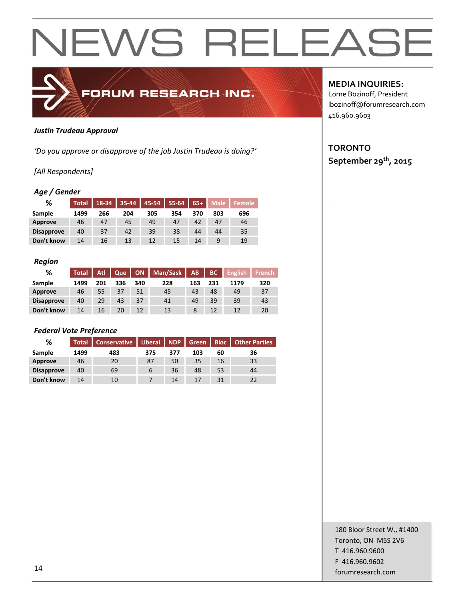

### *Justin Trudeau Approval*

*'Do you approve or disapprove of the job Justin Trudeau is doing?'*

### *[All Respondents]*

### *Age / Gender*

| %                 | <b>Total</b> | 18-34 | $35 - 44$ | $45 - 54$ | $55-64$ | $65+$ | <b>Male</b> | <b>Female</b> |
|-------------------|--------------|-------|-----------|-----------|---------|-------|-------------|---------------|
| Sample            | 1499         | 266   | 204       | 305       | 354     | 370   | 803         | 696           |
| Approve           | 46           | 47    | 45        | 49        | 47      | 42    | 47          | 46            |
| <b>Disapprove</b> | 40           | 37    | 42        | 39        | 38      | 44    | 44          | 35            |
| Don't know        | 14           | 16    | 13        | 12        | 15      | 14    |             | 19            |

#### *Region*

| %                 | <b>Total</b> | Atl | Que |     | ON   Man/Sask | AB  | BC  | <b>English</b> | <b>French</b> |
|-------------------|--------------|-----|-----|-----|---------------|-----|-----|----------------|---------------|
| Sample            | 1499         | 201 | 336 | 340 | 228           | 163 | 231 | 1179           | 320           |
| Approve           | 46           | 55  | 37  | 51  | 45            | 43  | 48  | 49             | 37            |
| <b>Disapprove</b> | 40           | 29  | 43  | 37  | 41            | 49  | 39  | 39             | 43            |
| Don't know        | 14           | 16  | 20  | 12  | 13            | 8   | 12  | 12             | 20            |

### *Federal Vote Preference*

| %                 | <b>Total</b> | Conservative   Liberal   NDP |     |     | Sreen |    | <b>Bloc</b>   Other Parties |
|-------------------|--------------|------------------------------|-----|-----|-------|----|-----------------------------|
| Sample            | 1499         | 483                          | 375 | 377 | 103   | 60 | 36                          |
| Approve           | 46           | 20                           | 87  | 50  | 35    | 16 | 33                          |
| <b>Disapprove</b> | 40           | 69                           | 6   | 36  | 48    | 53 | 44                          |
| Don't know        | 14           | 10                           |     | 14  |       | 31 | 22                          |

**MEDIA INQUIRIES:**

Lorne Bozinoff, President lbozinoff@forumresearch.com 416.960.9603

## **TORONTO September 29th, 2015**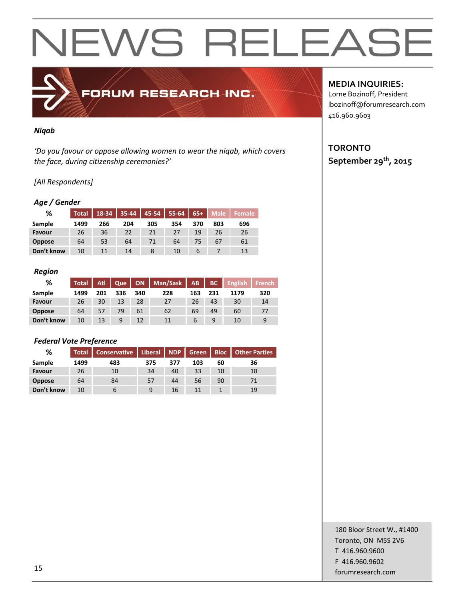## *Niqab*

*'Do you favour or oppose allowing women to wear the niqab, which covers the face, during citizenship ceremonies?'*

FORUM RESEARCH INC.

### *[All Respondents]*

#### *Age / Gender*

| %             | <b>Total</b> | 18-34 |     | 35-44 45-54 55-64 65+ |     |     | Male | ا Female ا |
|---------------|--------------|-------|-----|-----------------------|-----|-----|------|------------|
| Sample        | 1499         | 266   | 204 | 305                   | 354 | 370 | 803  | 696        |
| Favour        | 26           | 36    | 22  | 21                    | 27  | 19  | 26   | 26         |
| <b>Oppose</b> | 64           | 53    | 64  | 71                    | 64  | 75  | 67   | 61         |
| Don't know    | 10           | 11    | 14  |                       | 10  | 6   |      | 13         |

#### *Region*

| ℅             | <b>Total</b> | Atl I | Que |     | ON   Man/Sask   AB |     | BC  | $\blacksquare$ English | French |
|---------------|--------------|-------|-----|-----|--------------------|-----|-----|------------------------|--------|
| Sample        | 1499         | 201   | 336 | 340 | 228                | 163 | 231 | 1179                   | 320    |
| Favour        | 26           | 30    | 13  | 28  | 27                 | 26  | 43  | 30                     | 14     |
| <b>Oppose</b> | 64           | 57    | 79  | 61  | 62                 | 69  | 49  | 60                     |        |
| Don't know    | 10           | 13    | 9   | 12  | 11                 | b   |     | 10                     | 9      |

#### *Federal Vote Preference*

| %             | <b>Total</b> | Conservative   Liberal   NDP |     |     | <b>Green</b> | <b>Bloc</b> | <b>Other Parties</b> |
|---------------|--------------|------------------------------|-----|-----|--------------|-------------|----------------------|
| Sample        | 1499         | 483                          | 375 | 377 | 103          | 60          | 36                   |
| Favour        | 26           | 10                           | 34  | 40  | 33           | 10          | 10                   |
| <b>Oppose</b> | 64           | 84                           | 57  | 44  | 56           | 90          |                      |
| Don't know    | 10           |                              | 9   | 16  |              |             | 19                   |

## **MEDIA INQUIRIES:**

Lorne Bozinoff, President lbozinoff@forumresearch.com 416.960.9603

## **TORONTO September 29th, 2015**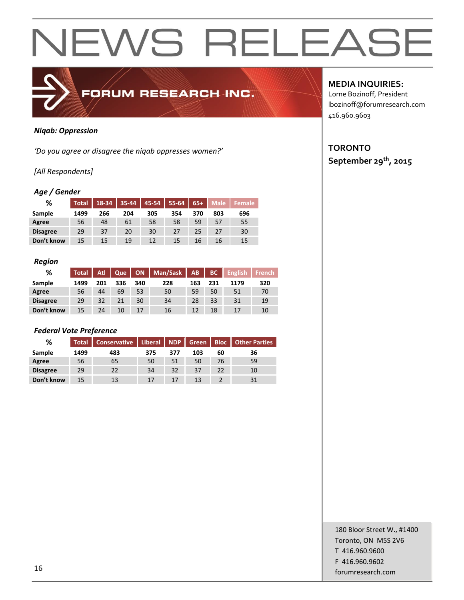

### *Niqab: Oppression*

*'Do you agree or disagree the niqab oppresses women?'*

## *[All Respondents]*

### *Age / Gender*

| ℅               | Total | $18 - 34$ | $35 - 44$ | 45-54 | $55-64$ | $65+$ | <b>Male</b> | Female |
|-----------------|-------|-----------|-----------|-------|---------|-------|-------------|--------|
| Sample          | 1499  | 266       | 204       | 305   | 354     | 370   | 803         | 696    |
| Agree           | 56    | 48        | 61        | 58    | 58      | 59    | 57          | 55     |
| <b>Disagree</b> | 29    | 37        | 20        | 30    | 27      | 25    | 27          | 30     |
| Don't know      | 15    | 15        | 19        | 12    | 15      | 16    | 16          | 15     |

#### *Region*

| %               | <b>Total</b> | Atl | Que |     | ON   Man/Sask | <b>AB</b> | BC  | <b>English</b> | <b>French</b> |
|-----------------|--------------|-----|-----|-----|---------------|-----------|-----|----------------|---------------|
| Sample          | 1499         | 201 | 336 | 340 | 228           | 163       | 231 | 1179           | 320           |
| Agree           | 56           | 44  | 69  | 53  | 50            | 59        | 50  | 51             | 70            |
| <b>Disagree</b> | 29           | 32  | 21  | 30  | 34            | 28        | 33  | 31             | 19            |
| Don't know      | 15           | 24  | 10  | 17  | 16            | 12        | 18  | 17             | 10            |

### *Federal Vote Preference*

| %               |      | Total   Conservative | Liberal   NDP |     | Green | <b>Bloc</b> | <b>Other Parties</b> |
|-----------------|------|----------------------|---------------|-----|-------|-------------|----------------------|
| Sample          | 1499 | 483                  | 375           | 377 | 103   | 60          | 36                   |
| Agree           | 56   | 65                   | 50            | 51  | 50    | 76          | 59                   |
| <b>Disagree</b> | 29   | 22                   | 34            | 32  | 37    | 22          | 10                   |
| Don't know      | 15   | 13                   | 17            | 17  | 13    |             | 31                   |

## **MEDIA INQUIRIES:**

Lorne Bozinoff, President lbozinoff@forumresearch.com 416.960.9603

## **TORONTO September 29th, 2015**

180 Bloor Street W., #1400 Toronto, ON M5S 2V6 T 416.960.9600 F 416.960.9602 for the set of the set of the set of the set of the set of the set of the set of the set of the set of the set of the set of the set of the set of the set of the set of the set of the set of the set of the set of the set o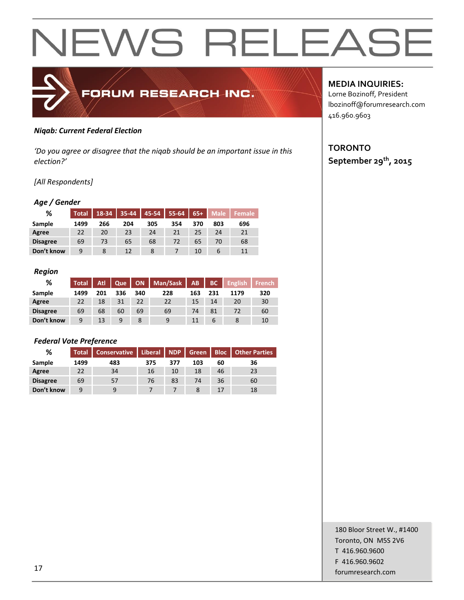

### *Niqab: Current Federal Election*

*'Do you agree or disagree that the niqab should be an important issue in this election?'*

## *[All Respondents]*

### *Age / Gender*

| %               | <b>Total</b> | 18-34 | $35 - 44$ | $ 45-54 $ | $55 - 64$ | $65+$ | <b>Male</b> | <b>Female</b> |
|-----------------|--------------|-------|-----------|-----------|-----------|-------|-------------|---------------|
| Sample          | 1499         | 266   | 204       | 305       | 354       | 370   | 803         | 696           |
| Agree           | 22           | 20    | 23        | 24        | 21        | 25    | 24          | 21            |
| <b>Disagree</b> | 69           | 73    | 65        | 68        | 72        | 65    | 70          | 68            |
| Don't know      | 9            |       | 12        |           |           | 10    | b           | 11            |

#### *Region*

| %               | <b>Total</b> | Atl | Que |     | ON   Man/Sask | AB  | BC  | <b>English</b> | French |
|-----------------|--------------|-----|-----|-----|---------------|-----|-----|----------------|--------|
| Sample          | 1499         | 201 | 336 | 340 | 228           | 163 | 231 | 1179           | 320    |
| Agree           | 22           | 18  | 31  | 22  | 22            | 15  | 14  | 20             | 30     |
| <b>Disagree</b> | 69           | 68  | 60  | 69  | 69            | 74  | 81  | 72             | 60     |
| Don't know      | 9            | 13  | 9   | 8   |               | 11  | b   |                | 10     |

### *Federal Vote Preference*

| %               | <b>Total</b> | Conservative | Liberal   NDP |     | Green | <b>Bloc</b> | <b>Other Parties</b> |
|-----------------|--------------|--------------|---------------|-----|-------|-------------|----------------------|
| Sample          | 1499         | 483          | 375           | 377 | 103   | 60          | 36                   |
| Agree           | 22           | 34           | 16            | 10  | 18    | 46          | 23                   |
| <b>Disagree</b> | 69           | 57           | 76            | 83  | 74    | 36          | 60                   |
| Don't know      | q            |              |               |     |       | 17          | 18                   |

## **MEDIA INQUIRIES:**

Lorne Bozinoff, President lbozinoff@forumresearch.com 416.960.9603

## **TORONTO September 29th, 2015**